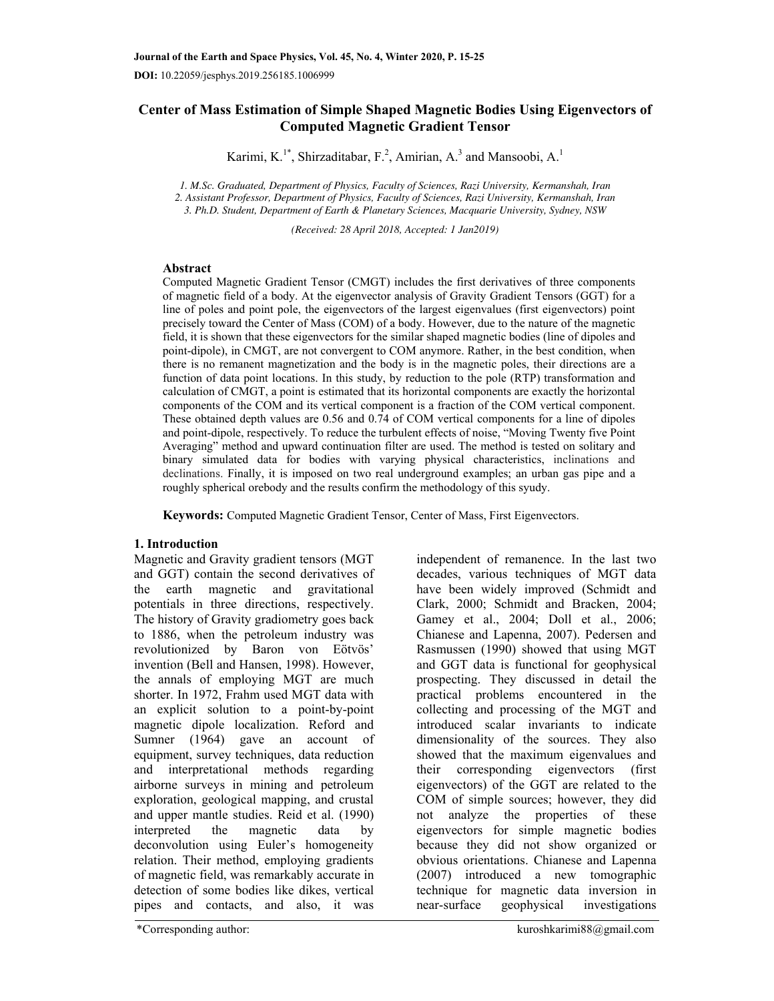# **Center of Mass Estimation of Simple Shaped Magnetic Bodies Using Eigenvectors of Computed Magnetic Gradient Tensor**

Karimi, K.<sup>1\*</sup>, Shirzaditabar, F.<sup>2</sup>, Amirian, A.<sup>3</sup> and Mansoobi, A.<sup>1</sup>

*1. M.Sc. Graduated, Department of Physics, Faculty of Sciences, Razi University, Kermanshah, Iran 2. Assistant Professor, Department of Physics, Faculty of Sciences, Razi University, Kermanshah, Iran 3. Ph.D. Student, Department of Earth & Planetary Sciences, Macquarie University, Sydney, NSW* 

*(Received: 28 April 2018, Accepted: 1 Jan2019)* 

# **Abstract**

Computed Magnetic Gradient Tensor (CMGT) includes the first derivatives of three components of magnetic field of a body. At the eigenvector analysis of Gravity Gradient Tensors (GGT) for a line of poles and point pole, the eigenvectors of the largest eigenvalues (first eigenvectors) point precisely toward the Center of Mass (COM) of a body. However, due to the nature of the magnetic field, it is shown that these eigenvectors for the similar shaped magnetic bodies (line of dipoles and point-dipole), in CMGT, are not convergent to COM anymore. Rather, in the best condition, when there is no remanent magnetization and the body is in the magnetic poles, their directions are a function of data point locations. In this study, by reduction to the pole (RTP) transformation and calculation of CMGT, a point is estimated that its horizontal components are exactly the horizontal components of the COM and its vertical component is a fraction of the COM vertical component. These obtained depth values are 0.56 and 0.74 of COM vertical components for a line of dipoles and point-dipole, respectively. To reduce the turbulent effects of noise, "Moving Twenty five Point Averaging" method and upward continuation filter are used. The method is tested on solitary and binary simulated data for bodies with varying physical characteristics, inclinations and declinations. Finally, it is imposed on two real underground examples; an urban gas pipe and a roughly spherical orebody and the results confirm the methodology of this syudy.

**Keywords:** Computed Magnetic Gradient Tensor, Center of Mass, First Eigenvectors.

# **1. Introduction**

Magnetic and Gravity gradient tensors (MGT and GGT) contain the second derivatives of the earth magnetic and gravitational potentials in three directions, respectively. The history of Gravity gradiometry goes back to 1886, when the petroleum industry was revolutionized by Baron von Eötvös' invention (Bell and Hansen, 1998). However, the annals of employing MGT are much shorter. In 1972, Frahm used MGT data with an explicit solution to a point-by-point magnetic dipole localization. Reford and Sumner (1964) gave an account of equipment, survey techniques, data reduction and interpretational methods regarding airborne surveys in mining and petroleum exploration, geological mapping, and crustal and upper mantle studies. Reid et al. (1990) interpreted the magnetic data by deconvolution using Euler's homogeneity relation. Their method, employing gradients of magnetic field, was remarkably accurate in detection of some bodies like dikes, vertical pipes and contacts, and also, it was

independent of remanence. In the last two decades, various techniques of MGT data have been widely improved (Schmidt and Clark, 2000; Schmidt and Bracken, 2004; Gamey et al., 2004; Doll et al., 2006; Chianese and Lapenna, 2007). Pedersen and Rasmussen (1990) showed that using MGT and GGT data is functional for geophysical prospecting. They discussed in detail the practical problems encountered in the collecting and processing of the MGT and introduced scalar invariants to indicate dimensionality of the sources. They also showed that the maximum eigenvalues and their corresponding eigenvectors (first eigenvectors) of the GGT are related to the COM of simple sources; however, they did not analyze the properties of these eigenvectors for simple magnetic bodies because they did not show organized or obvious orientations. Chianese and Lapenna (2007) introduced a new tomographic technique for magnetic data inversion in geophysical investigations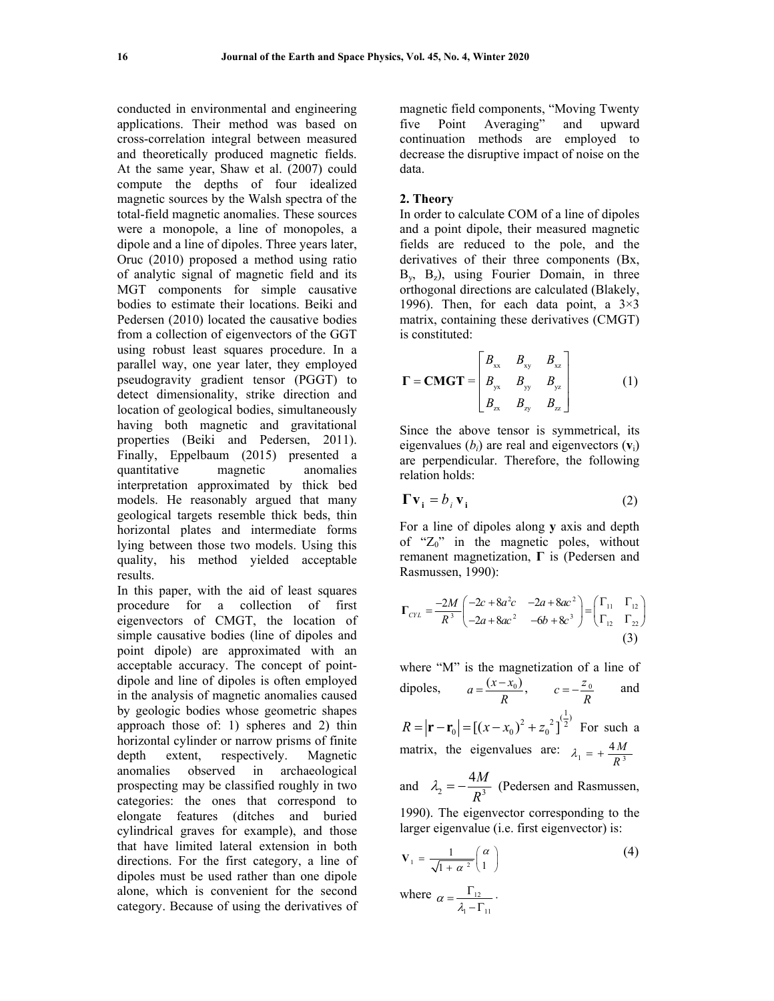conducted in environmental and engineering applications. Their method was based on cross-correlation integral between measured and theoretically produced magnetic fields. At the same year, Shaw et al. (2007) could compute the depths of four idealized magnetic sources by the Walsh spectra of the total-field magnetic anomalies. These sources were a monopole, a line of monopoles, a dipole and a line of dipoles. Three years later, Oruc (2010) proposed a method using ratio of analytic signal of magnetic field and its MGT components for simple causative bodies to estimate their locations. Beiki and Pedersen (2010) located the causative bodies from a collection of eigenvectors of the GGT using robust least squares procedure. In a parallel way, one year later, they employed pseudogravity gradient tensor (PGGT) to detect dimensionality, strike direction and location of geological bodies, simultaneously having both magnetic and gravitational properties (Beiki and Pedersen, 2011). Finally, Eppelbaum (2015) presented a quantitative magnetic anomalies interpretation approximated by thick bed models. He reasonably argued that many geological targets resemble thick beds, thin horizontal plates and intermediate forms lying between those two models. Using this quality, his method yielded acceptable results.

In this paper, with the aid of least squares procedure for a collection of first eigenvectors of CMGT, the location of simple causative bodies (line of dipoles and point dipole) are approximated with an acceptable accuracy. The concept of pointdipole and line of dipoles is often employed in the analysis of magnetic anomalies caused by geologic bodies whose geometric shapes approach those of: 1) spheres and 2) thin horizontal cylinder or narrow prisms of finite depth extent, respectively. Magnetic anomalies observed in archaeological prospecting may be classified roughly in two categories: the ones that correspond to elongate features (ditches and buried cylindrical graves for example), and those that have limited lateral extension in both directions. For the first category, a line of dipoles must be used rather than one dipole alone, which is convenient for the second category. Because of using the derivatives of magnetic field components, "Moving Twenty five Point Averaging" and upward continuation methods are employed to decrease the disruptive impact of noise on the data.

#### **2. Theory**

In order to calculate COM of a line of dipoles and a point dipole, their measured magnetic fields are reduced to the pole, and the derivatives of their three components (Bx,  $B_y$ ,  $B_z$ ), using Fourier Domain, in three orthogonal directions are calculated (Blakely, 1996). Then, for each data point, a  $3\times3$ matrix, containing these derivatives (CMGT) is constituted:

$$
\mathbf{\Gamma} = \mathbf{CMGT} = \begin{bmatrix} B_{xx} & B_{xy} & B_{xz} \\ B_{yx} & B_{yy} & B_{yz} \\ B_{zx} & B_{zy} & B_{zz} \end{bmatrix} \tag{1}
$$

Since the above tensor is symmetrical, its eigenvalues  $(b_i)$  are real and eigenvectors  $(v_i)$ are perpendicular. Therefore, the following relation holds:

$$
\Gamma \mathbf{v}_i = b_i \mathbf{v}_i \tag{2}
$$

For a line of dipoles along **y** axis and depth of " $Z_0$ " in the magnetic poles, without remanent magnetization, **Г** is (Pedersen and Rasmussen, 1990):

$$
\Gamma_{CYL} = \frac{-2M}{R^3} \begin{pmatrix} -2c + 8a^2c & -2a + 8ac^2 \ -2a + 8ac^2 & -6b + 8c^3 \end{pmatrix} = \begin{pmatrix} \Gamma_{11} & \Gamma_{12} \\ \Gamma_{12} & \Gamma_{22} \end{pmatrix}
$$
\n(3)

where "M" is the magnetization of a line of dipoles,  $a = \frac{(x - x_0)}{R}$ ,  $c = -\frac{z_0}{R}$  and  $R = |\mathbf{r} - \mathbf{r}_0| = [(x - x_0)^2 + z_0^2]^{(\frac{1}{2})}$  For such a matrix, the eigenvalues are:  $\lambda_1 = +\frac{4M}{R^3}$  $\lambda_1 = +\frac{H_I}{R}$ and  $\lambda_2 = -\frac{4M}{R^3}$ *R*  $\lambda_2 = -\frac{4\pi}{n^2}$  (Pedersen and Rasmussen,

1990). The eigenvector corresponding to the larger eigenvalue (i.e. first eigenvector) is:

$$
\mathbf{V}_1 = \frac{1}{\sqrt{1 + \alpha^2}} \begin{pmatrix} \alpha \\ 1 \end{pmatrix} \tag{4}
$$

where  $\alpha = \frac{1}{2}$  $1 - 11$  $\alpha = \frac{\Gamma_{12}}{\lambda_1 - \Gamma_{11}}$ .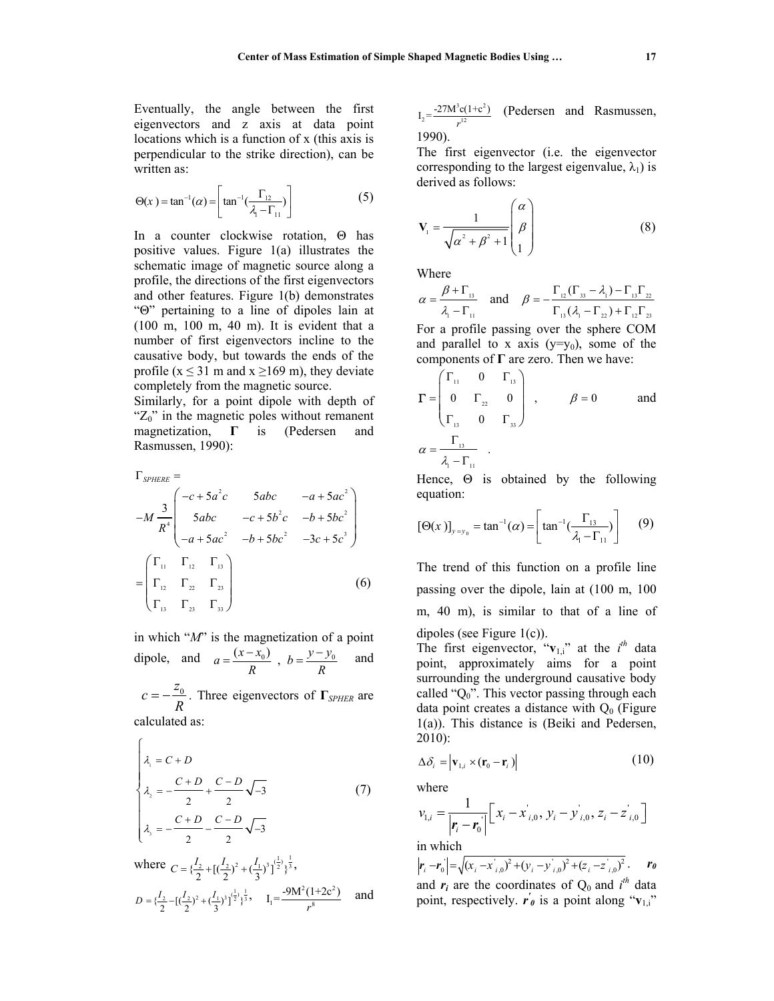Eventually, the angle between the first eigenvectors and z axis at data point locations which is a function of x (this axis is perpendicular to the strike direction), can be written as:

$$
\Theta(x) = \tan^{-1}(\alpha) = \left[ \tan^{-1}(\frac{\Gamma_{12}}{\lambda_1 - \Gamma_{11}}) \right]
$$
 (5)

In a counter clockwise rotation, Θ has positive values. Figure 1(a) illustrates the schematic image of magnetic source along a profile, the directions of the first eigenvectors and other features. Figure 1(b) demonstrates "Θ" pertaining to a line of dipoles lain at (100 m, 100 m, 40 m). It is evident that a number of first eigenvectors incline to the causative body, but towards the ends of the profile ( $x \le 31$  m and  $x \ge 169$  m), they deviate completely from the magnetic source.

Similarly, for a point dipole with depth of " $Z_0$ " in the magnetic poles without remanent magnetization, **Г** is (Pedersen and Rasmussen, 1990):

$$
\Gamma_{\text{SPHERE}} =
$$
\n
$$
-M \frac{3}{R^{4}} \begin{pmatrix} -c + 5a^{2}c & 5abc & -a + 5ac^{2} \\ 5abc & -c + 5b^{2}c & -b + 5bc^{2} \\ -a + 5ac^{2} & -b + 5bc^{2} & -3c + 5c^{3} \end{pmatrix}
$$
\n
$$
= \begin{pmatrix} \Gamma_{11} & \Gamma_{12} & \Gamma_{13} \\ \Gamma_{12} & \Gamma_{22} & \Gamma_{23} \\ \Gamma_{13} & \Gamma_{23} & \Gamma_{33} \end{pmatrix}
$$
\n(6)

in which "*M*" is the magnetization of a point dipole, and  $a = \frac{(x - x_0)}{R}$ ,  $b = \frac{y - y_0}{R}$  and  $c = -\frac{z_0}{R}$ . Three eigenvectors of  $\Gamma_{\text{SPHER}}$  are calculated as:

$$
\begin{cases}\n\lambda_1 = C + D \\
\lambda_2 = -\frac{C + D}{2} + \frac{C - D}{2}\sqrt{-3} \\
\lambda_3 = -\frac{C + D}{2} - \frac{C - D}{2}\sqrt{-3} \\
\text{where } C = \left\{\frac{I_2}{2} + \left[\left(\frac{I_2}{2}\right)^2 + \left(\frac{I_1}{3}\right)^3\right]^{\frac{1}{2}}\right\}^{\frac{1}{3}},\n\end{cases} (7)
$$

$$
D = \{\frac{I_2}{2} - \left[\left(\frac{I_2}{2}\right)^2 + \left(\frac{I_1}{3}\right)^3\right]^{\frac{1}{2}}\}^{\frac{1}{3}}, \quad I_1 = \frac{-9M^2(1+2c^2)}{r^8} \quad \text{and}
$$

$$
I_2 = \frac{-27M^3c(1+c^2)}{r^{12}}
$$
 (Pedersen and Rasmussen, 1990).

The first eigenvector (i.e. the eigenvector corresponding to the largest eigenvalue,  $\lambda_1$ ) is derived as follows:

$$
\mathbf{V}_{1} = \frac{1}{\sqrt{\alpha^{2} + \beta^{2} + 1}} \begin{pmatrix} \alpha \\ \beta \\ 1 \end{pmatrix}
$$
 (8)

Where

$$
\alpha = \frac{\beta + \Gamma_{13}}{\lambda_1 - \Gamma_{11}} \quad \text{and} \quad \beta = -\frac{\Gamma_{12}(\Gamma_{33} - \lambda_1) - \Gamma_{13}\Gamma_{22}}{\Gamma_{13}(\lambda_1 - \Gamma_{22}) + \Gamma_{12}\Gamma_{23}}
$$

For a profile passing over the sphere COM and parallel to x axis  $(y=y_0)$ , some of the components of **Г** are zero. Then we have:

$$
\Gamma = \begin{pmatrix} \Gamma_{11} & 0 & \Gamma_{13} \\ 0 & \Gamma_{22} & 0 \\ \Gamma_{13} & 0 & \Gamma_{33} \end{pmatrix} , \qquad \beta = 0 \qquad \text{and}
$$

$$
\alpha = \frac{\Gamma_{13}}{\lambda_1 - \Gamma_{11}} .
$$

Hence, Θ is obtained by the following equation:

$$
[\Theta(x)]_{y=y_0} = \tan^{-1}(\alpha) = \left[ \tan^{-1}(\frac{\Gamma_{13}}{\lambda_1 - \Gamma_{11}}) \right] \qquad (9)
$$

The trend of this function on a profile line passing over the dipole, lain at (100 m, 100 m, 40 m), is similar to that of a line of dipoles (see Figure 1(c)).

The first eigenvector, " $v_{1,i}$ " at the  $i^{th}$  data point, approximately aims for a point surrounding the underground causative body called "Q0". This vector passing through each data point creates a distance with  $Q_0$  (Figure 1(a)). This distance is (Beiki and Pedersen, 2010):

$$
\Delta \delta_i = |\mathbf{v}_{1,i} \times (\mathbf{r}_0 - \mathbf{r}_i)| \tag{10}
$$

where

$$
v_{1,i} = \frac{1}{|\mathbf{r}_i - \mathbf{r}_0|} \left[ x_i - x_{i,0}, y_i - y_{i,0}, z_i - z_{i,0} \right]
$$
  
in which

$$
|\mathbf{r}_i - \mathbf{r}_0| = \sqrt{(x_i - x_{i,0})^2 + (y_i - y_{i,0})^2 + (z_i - z_{i,0})^2}
$$
. **r***o*  
and  $\mathbf{r}_i$  are the coordinates of Q<sub>0</sub> and  $i^{th}$  data  
point, respectively.  $\mathbf{r}_0$  is a point along " $\mathbf{v}_{1,i}$ "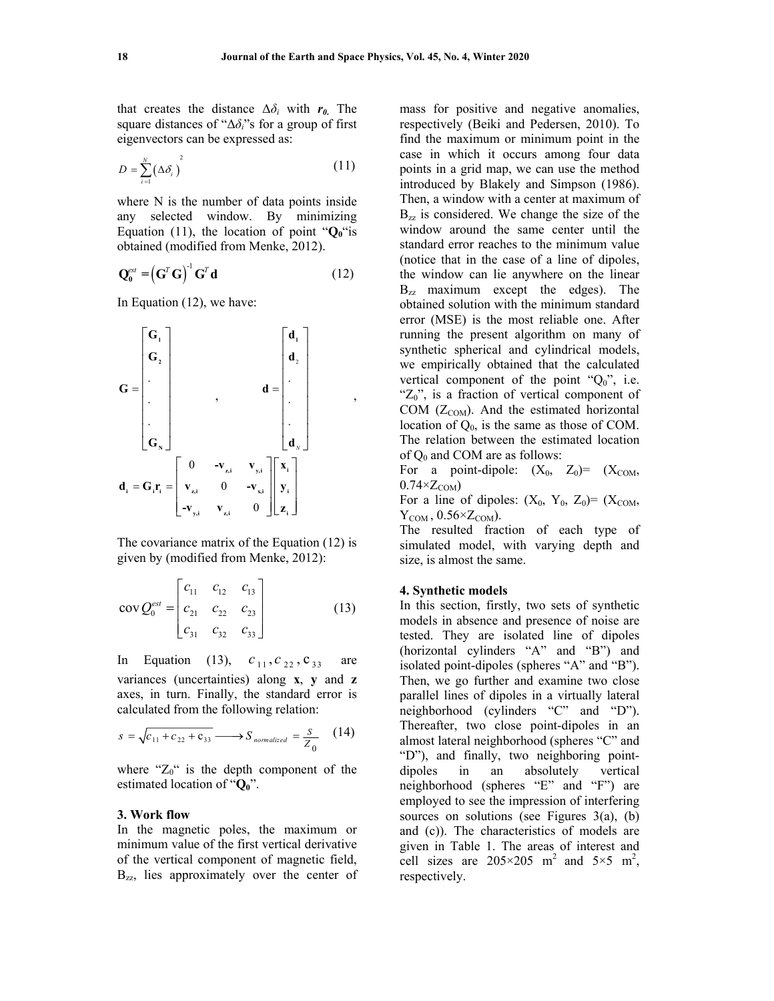that creates the distance  $\Delta \delta_i$  with  $r_0$ . The square distances of "Δ*δi*"s for a group of first eigenvectors can be expressed as:

$$
D = \sum_{i=1}^{N} (\Delta \delta_i)^2
$$
 (11)

where N is the number of data points inside any selected window. By minimizing Equation (11), the location of point " $Q_0$ "is obtained (modified from Menke, 2012).

$$
\mathbf{Q}_0^{\text{ext}} = \left(\mathbf{G}^T \mathbf{G}\right)^{-1} \mathbf{G}^T \mathbf{d} \tag{12}
$$

In Equation (12), we have:



The covariance matrix of the Equation (12) is given by (modified from Menke, 2012):

$$
cov Q_0^{est} = \begin{bmatrix} c_{11} & c_{12} & c_{13} \\ c_{21} & c_{22} & c_{23} \\ c_{31} & c_{32} & c_{33} \end{bmatrix}
$$
 (13)

In Equation (13),  $c_{11}$ ,  $c_{22}$ ,  $c_{33}$  are variances (uncertainties) along **x**, **y** and **z** axes, in turn. Finally, the standard error is calculated from the following relation:

$$
s = \sqrt{c_{11} + c_{22} + c_{33}} \longrightarrow S_{normalized} = \frac{s}{Z_0} \quad (14)
$$

where " $Z_0$ " is the depth component of the estimated location of " $Q_0$ ".

## **3. Work flow**

In the magnetic poles, the maximum or minimum value of the first vertical derivative of the vertical component of magnetic field, B<sub>zz</sub>, lies approximately over the center of mass for positive and negative anomalies, respectively (Beiki and Pedersen, 2010). To find the maximum or minimum point in the case in which it occurs among four data points in a grid map, we can use the method introduced by Blakely and Simpson (1986). Then, a window with a center at maximum of  $B_{zz}$  is considered. We change the size of the window around the same center until the standard error reaches to the minimum value (notice that in the case of a line of dipoles, the window can lie anywhere on the linear  $B_{zz}$  maximum except the edges). The obtained solution with the minimum standard error (MSE) is the most reliable one. After running the present algorithm on many of synthetic spherical and cylindrical models, we empirically obtained that the calculated vertical component of the point " $Q_0$ ", i.e. " $Z_0$ ", is a fraction of vertical component of COM  $(Z_{COM})$ . And the estimated horizontal location of  $Q_0$ , is the same as those of COM. The relation between the estimated location of  $Q_0$  and COM are as follows:

For a point-dipole:  $(X_0, Z_0) = (X_{COM},$  $0.74 \times Z_{COM}$ 

For a line of dipoles:  $(X_0, Y_0, Z_0) = (X_{COM},$  $Y_{COM}$ , 0.56× $Z_{COM}$ ).

The resulted fraction of each type of simulated model, with varying depth and size, is almost the same.

#### **4. Synthetic models**

In this section, firstly, two sets of synthetic models in absence and presence of noise are tested. They are isolated line of dipoles (horizontal cylinders "A" and "B") and isolated point-dipoles (spheres "A" and "B"). Then, we go further and examine two close parallel lines of dipoles in a virtually lateral neighborhood (cylinders "C" and "D"). Thereafter, two close point-dipoles in an almost lateral neighborhood (spheres "C" and "D"), and finally, two neighboring pointdipoles in an absolutely vertical neighborhood (spheres "E" and "F") are employed to see the impression of interfering sources on solutions (see Figures 3(a), (b) and (c)). The characteristics of models are given in Table 1. The areas of interest and cell sizes are  $205 \times 205$  m<sup>2</sup> and  $5 \times 5$  m<sup>2</sup>, respectively.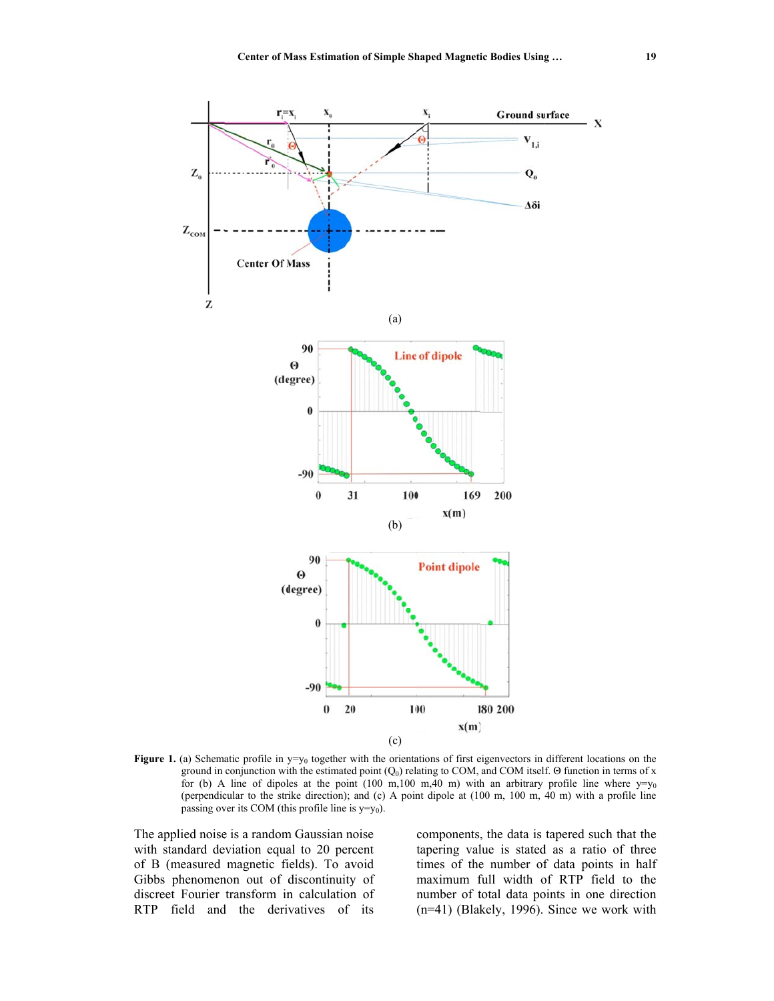

**Figure 1.** (a) Schematic profile in  $y=y_0$  together with the orientations of first eigenvectors in different locations on the ground in conjunction with the estimated point  $(Q_0)$  relating to COM, and COM itself. Θ function in terms of x for (b) A line of dipoles at the point (100 m,100 m,40 m) with an arbitrary profile line where  $y=y_0$ (perpendicular to the strike direction); and (c) A point dipole at  $(100 \text{ m}, 100 \text{ m}, 40 \text{ m})$  with a profile line passing over its COM (this profile line is  $y=y_0$ ).

The applied noise is a random Gaussian noise with standard deviation equal to 20 percent of B (measured magnetic fields). To avoid Gibbs phenomenon out of discontinuity of discreet Fourier transform in calculation of RTP field and the derivatives of its components, the data is tapered such that the tapering value is stated as a ratio of three times of the number of data points in half maximum full width of RTP field to the number of total data points in one direction  $(n=41)$  (Blakely, 1996). Since we work with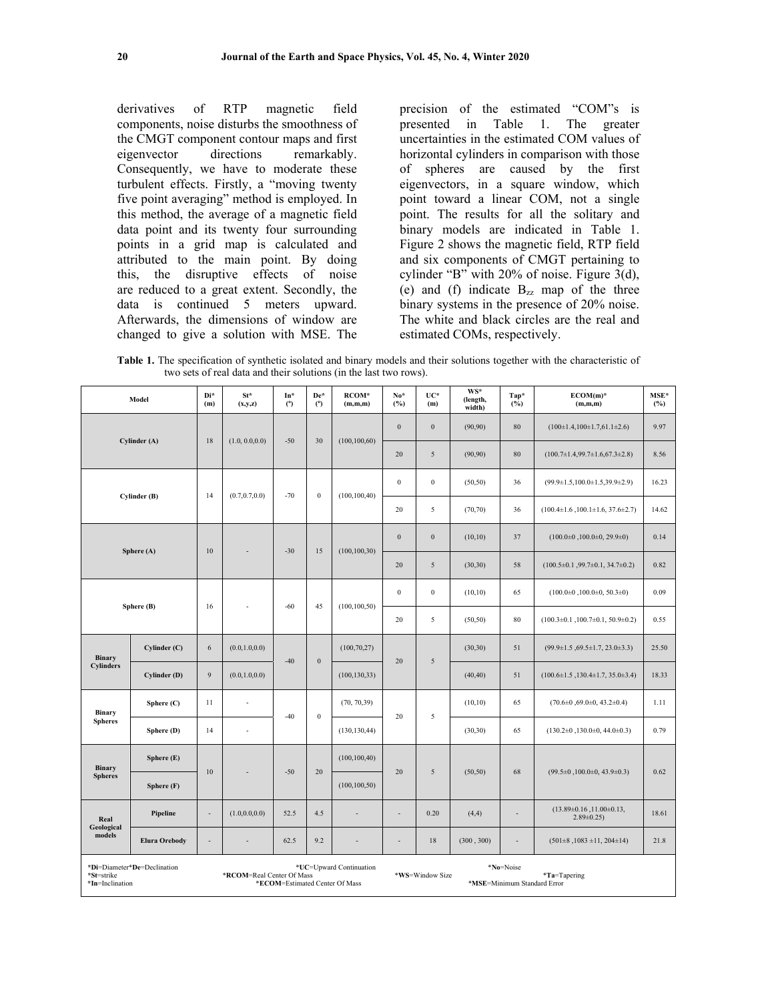derivatives of RTP magnetic field components, noise disturbs the smoothness of the CMGT component contour maps and first eigenvector directions remarkably. Consequently, we have to moderate these turbulent effects. Firstly, a "moving twenty five point averaging" method is employed. In this method, the average of a magnetic field data point and its twenty four surrounding points in a grid map is calculated and attributed to the main point. By doing this, the disruptive effects of noise are reduced to a great extent. Secondly, the data is continued 5 meters upward. Afterwards, the dimensions of window are changed to give a solution with MSE. The precision of the estimated "COM"s is presented in Table 1. The greater uncertainties in the estimated COM values of horizontal cylinders in comparison with those of spheres are caused by the first eigenvectors, in a square window, which point toward a linear COM, not a single point. The results for all the solitary and binary models are indicated in Table 1. Figure 2 shows the magnetic field, RTP field and six components of CMGT pertaining to cylinder "B" with 20% of noise. Figure 3(d), (e) and (f) indicate  $B_{zz}$  map of the three binary systems in the presence of 20% noise. The white and black circles are the real and estimated COMs, respectively.

**Table 1.** The specification of synthetic isolated and binary models and their solutions together with the characteristic of two sets of real data and their solutions (in the last two rows).

| Model                         |                             | Di*<br>(m)                                                                             | St*<br>(x,y,z)           | In*<br>(°) | De*<br>$^{\circ}$ | RCOM*<br>(m,m,m) | $No*$<br>(%)     | UC*<br>(m)                                                                     | WS*<br>(length,<br>width) | Tap*<br>(%)    | $ECOM(m)^*$<br>(m,m,m)                                | MSE*<br>(%) |  |
|-------------------------------|-----------------------------|----------------------------------------------------------------------------------------|--------------------------|------------|-------------------|------------------|------------------|--------------------------------------------------------------------------------|---------------------------|----------------|-------------------------------------------------------|-------------|--|
| Cylinder (A)                  |                             |                                                                                        |                          |            | 30                | (100, 100, 60)   | $\boldsymbol{0}$ | $\boldsymbol{0}$                                                               | (90, 90)                  | 80             | $(100\pm1.4, 100\pm1.7, 61.1\pm2.6)$                  | 9.97        |  |
|                               |                             | 18                                                                                     | (1.0, 0.0, 0.0)          | $-50$      |                   |                  | 20               | 5                                                                              | (90, 90)                  | 80             | $(100.7 \pm 1.4, 99.7 \pm 1.6, 67.3 \pm 2.8)$         | 8.56        |  |
| Cylinder (B)                  |                             | 14                                                                                     | (0.7, 0.7, 0.0)          | $-70$      | $\boldsymbol{0}$  | (100, 100, 40)   | $\boldsymbol{0}$ | $\bf{0}$                                                                       | (50, 50)                  | 36             | $(99.9 \pm 1.5, 100.0 \pm 1.5, 39.9 \pm 2.9)$         | 16.23       |  |
|                               |                             |                                                                                        |                          |            |                   |                  | 20               | 5                                                                              | (70, 70)                  | 36             | $(100.4 \pm 1.6, 100.1 \pm 1.6, 37.6 \pm 2.7)$        | 14.62       |  |
| Sphere (A)                    |                             | 10                                                                                     |                          | $-30$      | 15                | (100, 100, 30)   | $\boldsymbol{0}$ | $\boldsymbol{0}$                                                               | (10,10)                   | 37             | $(100.0\pm0, 100.0\pm0, 29.9\pm0)$                    | 0.14        |  |
|                               |                             |                                                                                        |                          |            |                   |                  | 20               | 5                                                                              | (30,30)                   | 58             | $(100.5\pm0.1, 99.7\pm0.1, 34.7\pm0.2)$               | 0.82        |  |
| Sphere (B)                    |                             | 16                                                                                     | $\overline{\phantom{a}}$ | $-60$      | 45                | (100, 100, 50)   | $\boldsymbol{0}$ | $\bf{0}$                                                                       | (10,10)                   | 65             | $(100.0\pm0, 100.0\pm0, 50.3\pm0)$                    | 0.09        |  |
|                               |                             |                                                                                        |                          |            |                   |                  | 20               | $\sqrt{5}$                                                                     | (50, 50)                  | 80             | $(100.3 \pm 0.1, 100.7 \pm 0.1, 50.9 \pm 0.2)$        | 0.55        |  |
| Binary<br>Cylinders           | Cylinder (C)                | 6                                                                                      | (0.0, 1.0, 0.0)          | $-40$      | $\boldsymbol{0}$  | (100, 70, 27)    | 20               | $\sqrt{5}$                                                                     | (30, 30)                  | 51             | $(99.9 \pm 1.5, 69.5 \pm 1.7, 23.0 \pm 3.3)$          | 25.50       |  |
|                               | Cylinder (D)                | 9                                                                                      | (0.0, 1.0, 0.0)          |            |                   | (100, 130, 33)   |                  |                                                                                | (40, 40)                  | 51             | $(100.6 \pm 1.5, 130.4 \pm 1.7, 35.0 \pm 3.4)$        | 18.33       |  |
| Binary<br><b>Spheres</b>      | Sphere (C)                  | 11                                                                                     | ÷.                       | $-40$      | $\boldsymbol{0}$  | (70, 70, 39)     | 20               | 5                                                                              | (10, 10)                  | 65             | $(70.6\pm0.69.0\pm0.43.2\pm0.4)$                      | 1.11        |  |
|                               | Sphere (D)                  | 14                                                                                     | $\overline{\phantom{a}}$ |            |                   | (130, 130, 44)   |                  |                                                                                | (30, 30)                  | 65             | $(130.2\pm0.130.0\pm0.44.0\pm0.3)$                    | 0.79        |  |
| Binary<br><b>Spheres</b>      | Sphere (E)                  | 10                                                                                     |                          | $-50$      | 20                | (100, 100, 40)   | 20               | 5                                                                              | (50, 50)                  | 68             | $(99.5\pm0, 100.0\pm0, 43.9\pm0.3)$                   | 0.62        |  |
|                               | Sphere (F)                  |                                                                                        |                          |            |                   | (100, 100, 50)   |                  |                                                                                |                           |                |                                                       |             |  |
| Real<br>Geological<br>models  | Pipeline                    | $\blacksquare$                                                                         | (1.0, 0.0, 0.0)          | 52.5       | 4.5               | ÷,               | ÷                | 0.20                                                                           | (4,4)                     | $\sim$         | $(13.89 \pm 0.16, 11.00 \pm 0.13,$<br>$2.89 \pm 0.25$ | 18.61       |  |
|                               | <b>Elura Orebody</b>        | $\blacksquare$                                                                         | ÷,                       | 62.5       | 9.2               |                  | $\overline{a}$   | 18                                                                             | (300, 300)                | $\overline{a}$ | $(501\pm8, 1083\pm11, 204\pm14)$                      | 21.8        |  |
| *St=strike<br>*In=Inclination | *Di=Diameter*De=Declination | *UC=Upward Continuation<br>*RCOM=Real Center Of Mass<br>*ECOM=Estimated Center Of Mass |                          |            |                   |                  |                  | *No=Noise<br>*WS=Window Size<br>$*$ Ta=Tapering<br>*MSE=Minimum Standard Error |                           |                |                                                       |             |  |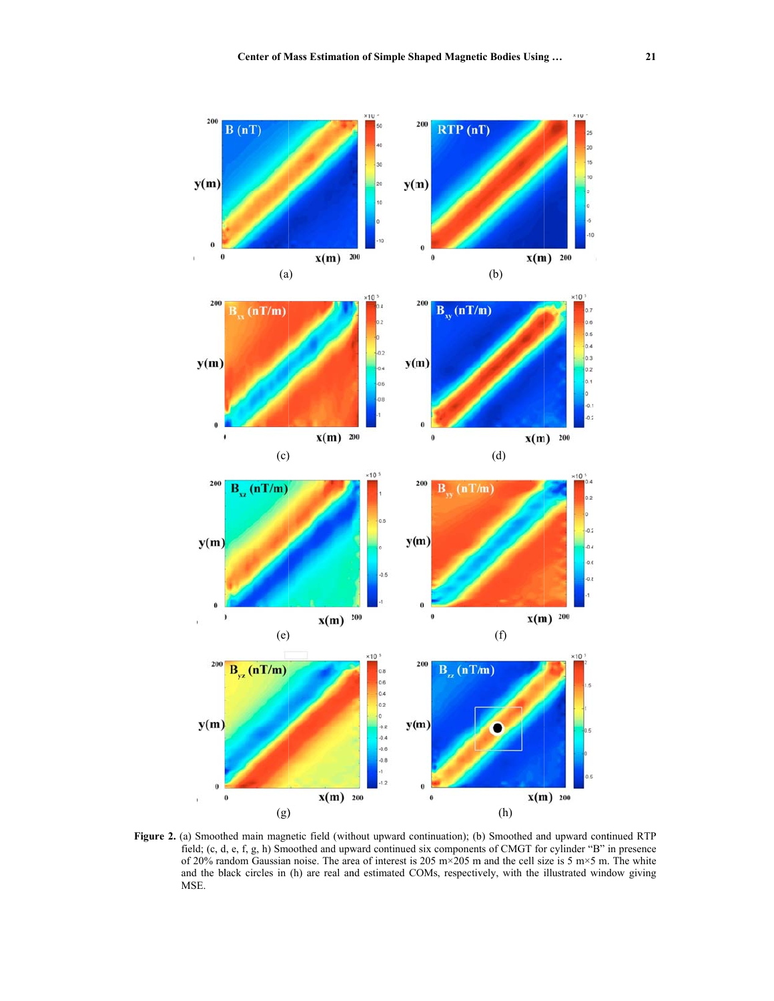

**Figure 2.** (a) Smoothed main magnetic field (without upward continuation); (b) Smoothed and upward continued RTP field; (c, d, e, f, g, h) Smoothed and upward continued six components of CMGT for cylinder "B" in presence of 20% random Gaussian noise. The area of interest is 205 m×205 m and the cell size is 5 m×5 m. The white and the black circles in (h) are real and estimated COMs, respectively, with the illustrated window giving MSE.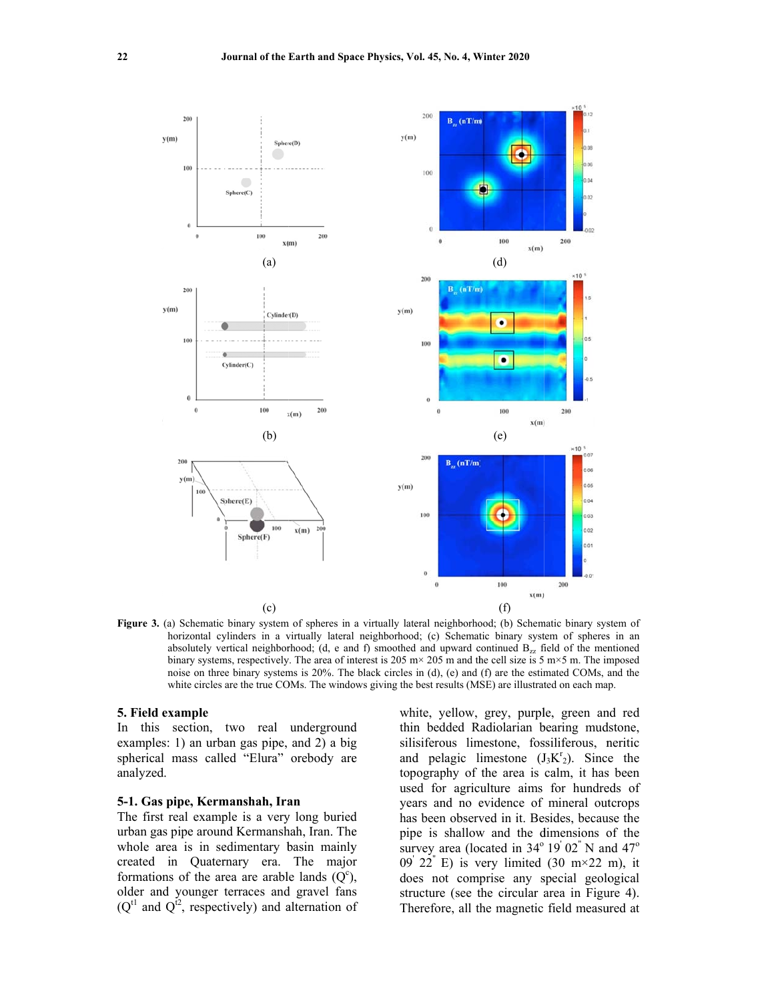

Figure 3. (a) Schematic binary system of spheres in a virtually lateral neighborhood; (b) Schematic binary system of horizontal cylinders in a virtually lateral neighborhood; (c) Schematic binary system of spheres in an absolutely vertical neighborhood; (d, e and f) smoothed and upward continued  $B_{zz}$  field of the mentioned binary systems, respectively. The area of interest is  $205 \text{ m} \times 205 \text{ m}$  and the cell size is  $5 \text{ m} \times 5 \text{ m}$ . The imposed noise on three binary systems is 20%. The black circles in (d), (e) and (f) are the estimated COMs, and the white circles are the true COMs. The windows giving the best results (MSE) are illustrated on each map.

### **5. Field example**

In this section, two real underground examples: 1) an urban gas pipe, and 2) a big spherical mass called "Elura" orebody are analyzed.

### **5-1. Gas pipe, Kermanshah, Iran**

The first real example is a very long buried urban gas pipe around Kermanshah, Iran. The whole area is in sedimentary basin mainly created in Quaternary era. The majo formations of the area are arable lands  $(Q<sup>c</sup>)$ , older and younger terraces and gravel fans  $(Q<sup>tl</sup>$  and  $Q<sup>iz</sup>$ , respectively) and alternation of dge<br>deyr white, yellow, grey, purple, green and red thin bedded Radiolarian bearing mudstone, silisiferous limestone, fossiliferous, neritic and pelagic limestone  $(J_3K^r_2)$ . Since the topography of the area is calm, it has been used for agriculture aims for hundreds of years and no evidence of mineral outcrops has been observed in it. Besides, because the pipe is shallow and the dimensions of the survey area (located in  $34^{\circ}$  19' 02" N and  $47^{\circ}$ 09' 22" E) is very limited (30 m $\times$ 22 m), it does not comprise any special geological structure (see the circular area in Figure 4). Therefore, all the magnetic field measured at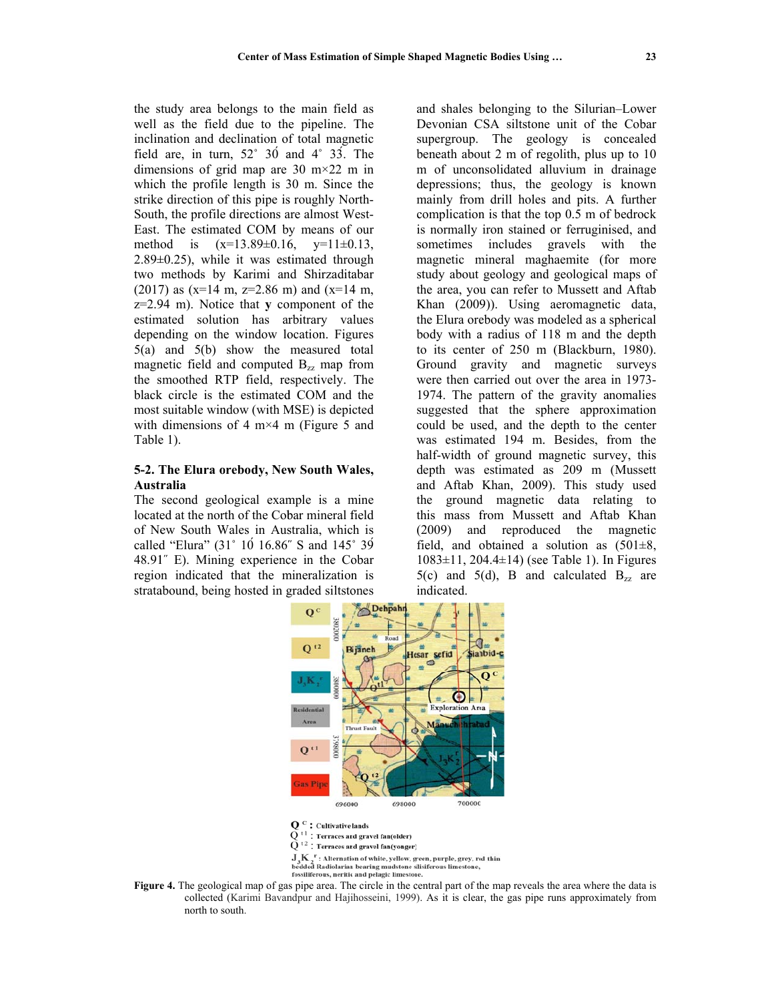the study area belongs to the main field as well as the field due to the pipeline. The inclination and declination of total magnetic field are, in turn,  $52^{\circ}$  30 and  $4^{\circ}$  33. The dimensions of grid map are 30 m $\times$ 22 m in which the profile length is 30 m. Since the strike direction of this pipe is roughly North-South, the profile directions are almost West-East. The estimated COM by means of our method is  $(x=13.89\pm0.16, y=11\pm0.13,$  $2.89\pm0.25$ , while it was estimated through two methods by Karimi and Shirzaditabar  $(2017)$  as  $(x=14 \text{ m}, z=2.86 \text{ m})$  and  $(x=14 \text{ m},$  $z=2.94$  m). Notice that y component of the estimated solution has arbitrary values depending on the window location. Figures  $5(a)$  and  $5(b)$  show the measured total magnetic field and computed  $B_{zz}$  map from the smoothed RTP field, respectively. The black circle is the estimated COM and the most suitable window (with MSE) is depicted with dimensions of 4 m $\times$ 4 m (Figure 5 and Table 1).

# 5-2. The Elura orebody, New South Wales, Australia

The second geological example is a mine located at the north of the Cobar mineral field of New South Wales in Australia, which is called "Elura" (31° 10 16.86" S and 145° 39 48.91" E). Mining experience in the Cobar region indicated that the mineralization is stratabound, being hosted in graded siltstones

and shales belonging to the Silurian–Lower Devonian CSA siltstone unit of the Cobar supergroup. The geology is concealed beneath about 2 m of regolith, plus up to 10 m of unconsolidated alluvium in drainage depressions; thus, the geology is known mainly from drill holes and pits. A further complication is that the top 0.5 m of bedrock is normally iron stained or ferruginised, and sometimes includes gravels with the magnetic mineral maghaemite (for more study about geology and geological maps of the area, you can refer to Mussett and Aftab Khan (2009)). Using aeromagnetic data, the Elura orebody was modeled as a spherical body with a radius of 118 m and the depth to its center of 250 m (Blackburn, 1980). Ground gravity and magnetic surveys were then carried out over the area in 1973-1974. The pattern of the gravity anomalies suggested that the sphere approximation could be used, and the depth to the center was estimated 194 m. Besides, from the half-width of ground magnetic survey, this depth was estimated as 209 m (Mussett and Aftab Khan, 2009). This study used the ground magnetic data relating to this mass from Mussett and Aftab Khan (2009) and reproduced the magnetic field, and obtained a solution as  $(501\pm8,$  $1083 \pm 11$ ,  $204.4 \pm 14$ ) (see Table 1). In Figures 5(c) and 5(d), B and calculated  $B_{zz}$  are indicated.



 $\mathbf{Q}^{\text{ c}}$   $:$  Cultivative lands

 $\Omega$ : Terraces and gravel fan(older)

 $\widetilde{O}$ <sup>t2</sup> : Terraces and gravel fan(yonger)

 $\mathbf{J}_1\mathbf{K}^{-r}$  : Alternation of white, yellow, green, purple, grey, red thin

 $\sigma_3$  And a statement of white, years, given particles in bedded Radiolarian bearing mudstone sllisiferous limest<br>fossiliferous, neritic and pelagic limestone.

Figure 4. The geological map of gas pipe area. The circle in the central part of the map reveals the area where the data is collected (Karimi Bavandpur and Hajihosseini, 1999). As it is clear, the gas pipe runs approximately from north to south.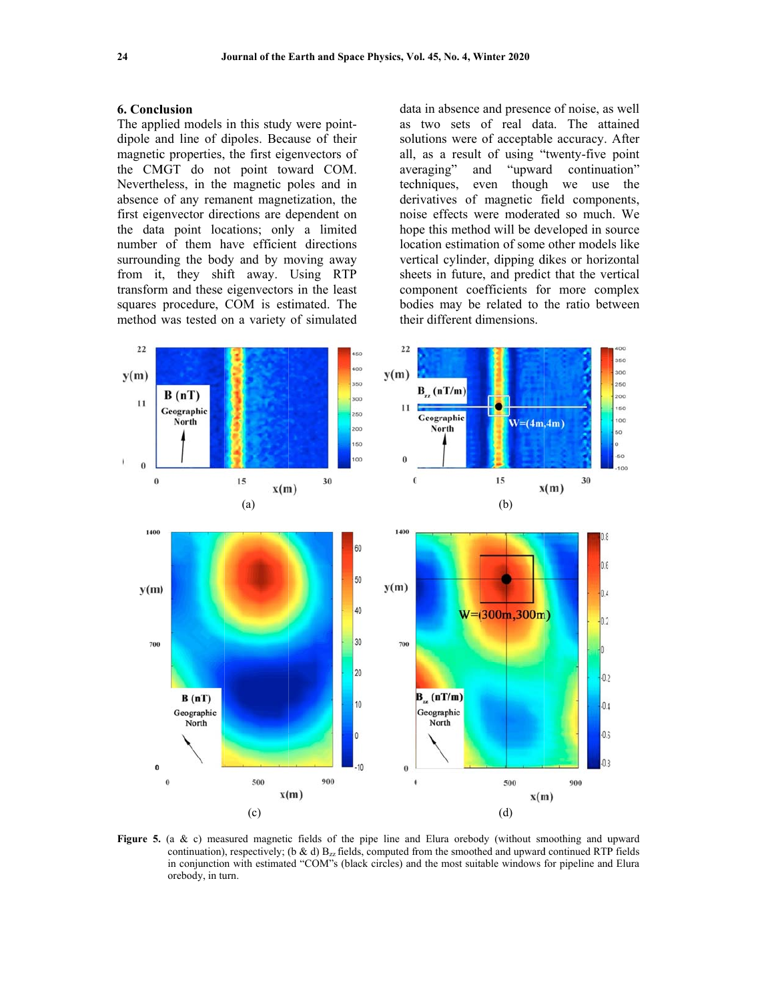#### 6. Conclusion

The applied models in this study were pointdipole and line of dipoles. Because of their magnetic properties, the first eigenvectors of the CMGT do not point toward COM. Nevertheless, in the magnetic poles and in absence of any remanent magnetization, the first eigenvector directions are dependent on the data point locations; only a limited number of them have efficient directions surrounding the body and by moving away from it, they shift away. Using RTP transform and these eigenvectors in the least squares procedure, COM is estimated. The method was tested on a variety of simulated

data in absence and presence of noise, as well as two sets of real data. The attained solutions were of acceptable accuracy. After all, as a result of using "twenty-five point averaging" and "upward continuation" techniques, even though we use the derivatives of magnetic field components, noise effects were moderated so much. We hope this method will be developed in source location estimation of some other models like vertical cylinder, dipping dikes or horizontal sheets in future, and predict that the vertical component coefficients for more complex bodies may be related to the ratio between their different dimensions.



Figure 5. (a & c) measured magnetic fields of the pipe line and Elura orebody (without smoothing and upward continuation), respectively; (b & d)  $B_{zz}$  fields, computed from the smoothed and upward continued RTP fields in conjunction with estimated "COM"s (black circles) and the most suitable windows for pipeline and Elura orebody, in turn.